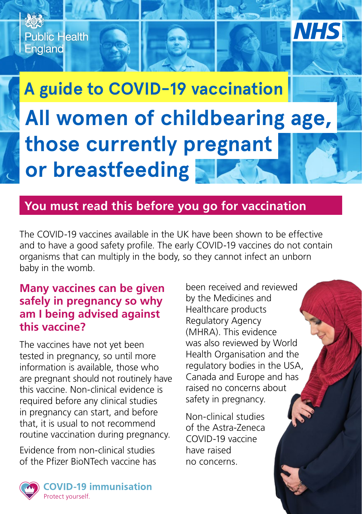

## **You must read this before you go for vaccination**

The COVID-19 vaccines available in the UK have been shown to be effective and to have a good safety profile. The early COVID-19 vaccines do not contain organisms that can multiply in the body, so they cannot infect an unborn baby in the womb.

## **Many vaccines can be given safely in pregnancy so why am I being advised against this vaccine?**

The vaccines have not yet been tested in pregnancy, so until more information is available, those who are pregnant should not routinely have this vaccine. Non-clinical evidence is required before any clinical studies in pregnancy can start, and before that, it is usual to not recommend routine vaccination during pregnancy.

Evidence from non-clinical studies of the Pfizer BioNTech vaccine has

been received and reviewed by the Medicines and Healthcare products Regulatory Agency (MHRA). This evidence was also reviewed by World Health Organisation and the regulatory bodies in the USA, Canada and Europe and has raised no concerns about safety in pregnancy.

Non-clinical studies of the Astra-Zeneca COVID-19 vaccine have raised no concerns.